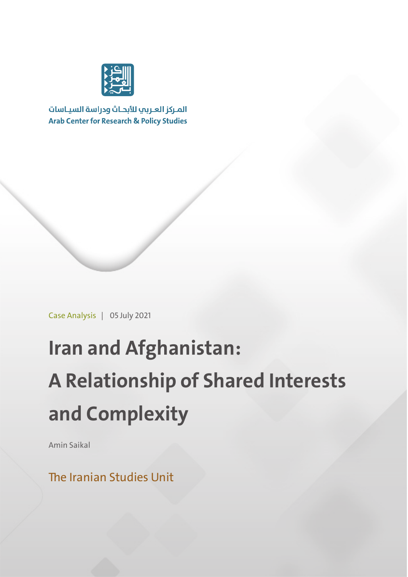

المركز العربب للأبحاث ودراسة السياسات **Arab Center for Research & Policy Studies** 

Case Analysis | 05 July 2021

# **Iran and Afghanistan: A Relationship of Shared Interests and Complexity**

Amin Saikal

The Iranian Studies Unit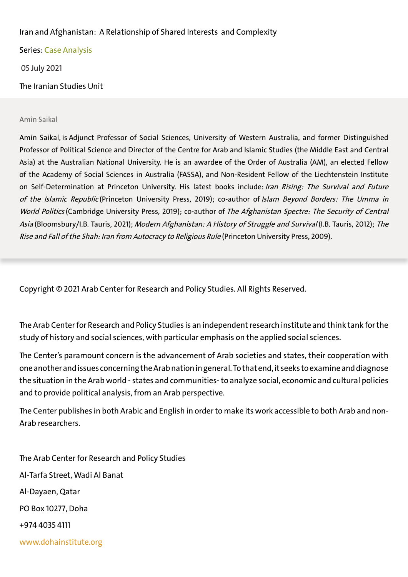### Iran and Afghanistan: A Relationship of Shared Interests and Complexity

Series: Case Analysis

05 July 2021

The Iranian Studies Uni

#### Amin Saikal

Amin Saikal, is Adjunct Professor of Social Sciences, University of Western Australia, and former Distinguished Professor of Political Science and Director of the Centre for Arab and Islamic Studies (the Middle East and Central Asia) at the Australian National University. He is an awardee of the Order of Australia (AM), an elected Fellow of the Academy of Social Sciences in Australia (FASSA), and Non-Resident Fellow of the Liechtenstein Institute on Self-Determination at Princeton University. His latest books include: Iran Rising: The Survival and Future of the Islamic Republic (Princeton University Press, 2019); co-author of Islam Beyond Borders: The Umma in World Politics (Cambridge University Press, 2019); co-author of The Afghanistan Spectre: The Security of Central Asia (Bloomsbury/I.B. Tauris, 2021); Modern Afghanistan: A History of Struggle and Survival (I.B. Tauris, 2012); The Rise and Fall of the Shah: Iran from Autocracy to Religious Rule (Princeton University Press, 2009).

Copyright © 2021 Arab Center for Research and Policy Studies. All Rights Reserved.

The Arab Center for Research and Policy Studies is an independent research institute and think tank for the study of history and social sciences, with particular emphasis on the applied social sciences.

The Center's paramount concern is the advancement of Arab societies and states, their cooperation with one another and issues concerning the Arab nation in general. To that end, it seeks to examine and diagnose the situation in the Arab world - states and communities- to analyze social, economic and cultural policies and to provide political analysis, from an Arab perspective.

The Center publishes in both Arabic and English in order to make its work accessible to both Arab and non-Arab researchers.

The Arab Center for Research and Policy Studies Al-Tarfa Street, Wadi Al Banat Al-Dayaen, Qatar PO Box 10277, Doha +974 4035 4111 www.dohainstitute.org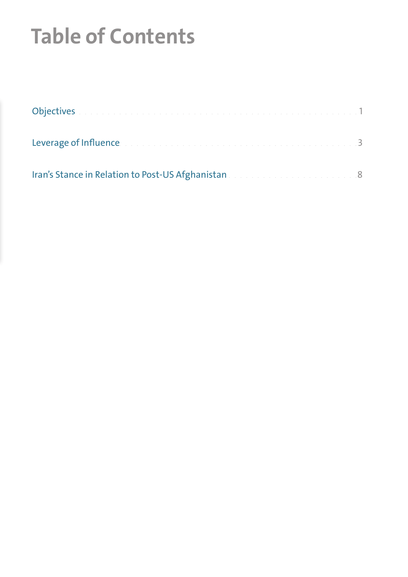## **Table of Contents**

| Objectives a comparation of the comparative construction of the comparative construction |  |
|------------------------------------------------------------------------------------------|--|
| Leverage of Influence. The contract of the contract of the contract of the contract of   |  |
| Iran's Stance in Relation to Post-US Afghanistan and a construction of the con-          |  |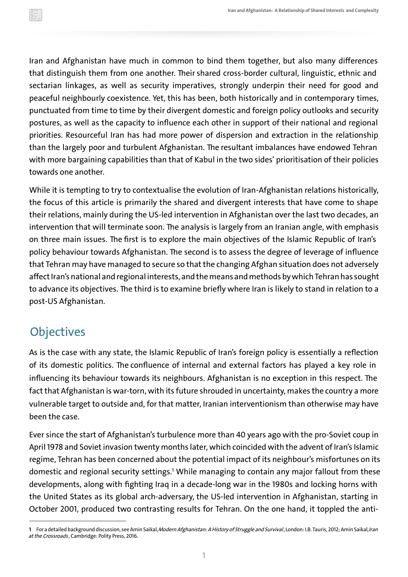Iran and Afghanistan have much in common to bind them together, but also many differences that distinguish them from one another. Their shared cross-border cultural, linguistic, ethnic and sectarian linkages, as well as security imperatives, strongly underpin their need for good and peaceful neighbourly coexistence. Yet, this has been, both historically and in contemporary times, punctuated from time to time by their divergent domestic and foreign policy outlooks and security postures, as well as the capacity to influence each other in support of their national and regional priorities. Resourceful Iran has had more power of dispersion and extraction in the relationship than the largely poor and turbulent Afghanistan. The resultant imbalances have endowed Tehran with more bargaining capabilities than that of Kabul in the two sides' prioritisation of their policies towards one another.

While it is tempting to try to contextualise the evolution of Iran-Afghanistan relations historically, the focus of this article is primarily the shared and divergent interests that have come to shape their relations, mainly during the US-led intervention in Afghanistan over the last two decades, an intervention that will terminate soon. The analysis is largely from an Iranian angle, with emphasis on three main issues. The first is to explore the main objectives of the Islamic Republic of Iran's policy behaviour towards Afghanistan. The second is to assess the degree of leverage of influence that Tehran may have managed to secure so that the changing Afghan situation does not adversely affect Iran's national and regional interests, and the means and methods by which Tehran has sought to advance its objectives. The third is to examine briefly where Iran is likely to stand in relation to a post-US Afghanistan.

## **Objectives**

As is the case with any state, the Islamic Republic of Iran's foreign policy is essentially a reflection of its domestic politics. The confluence of internal and external factors has played a key role in influencing its behaviour towards its neighbours. Afghanistan is no exception in this respect. The fact that Afghanistan is war-torn, with its future shrouded in uncertainty, makes the country a more vulnerable target to outside and, for that matter, Iranian interventionism than otherwise may have been the case.

Ever since the start of Afghanistan's turbulence more than 40 years ago with the pro-Soviet coup in April 1978 and Soviet invasion twenty months later, which coincided with the advent of Iran's Islamic regime, Tehran has been concerned about the potential impact of its neighbour's misfortunes on its domestic and regional security settings.**<sup>1</sup>** While managing to contain any major fallout from these developments, along with fighting Iraq in a decade-long war in the 1980s and locking horns with the United States as its global arch-adversary, the US-led intervention in Afghanistan, starting in October 2001, produced two contrasting results for Tehran. On the one hand, it toppled the anti-

<sup>1</sup> For a detailed background discussion, see Amin Saikal, Modern Afghanistan: A History of Struggle and Survival, London: I.B. Tauris, 2012; Amin Saikal, Iran at the Crossroads, Cambridge: Polity Press, 2016.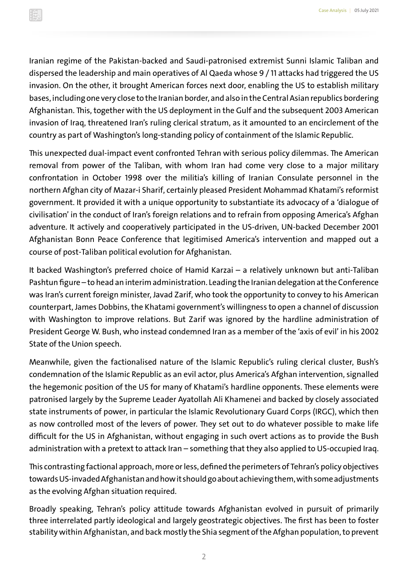Iranian regime of the Pakistan-backed and Saudi-patronised extremist Sunni Islamic Taliban and dispersed the leadership and main operatives of Al Qaeda whose 9 / 11 attacks had triggered the US invasion. On the other, it brought American forces next door, enabling the US to establish military bases, including one very close to the Iranian border, and also in the Central Asian republics bordering Afghanistan. This, together with the US deployment in the Gulf and the subsequent 2003 American invasion of Iraq, threatened Iran's ruling clerical stratum, as it amounted to an encirclement of the country as part of Washington's long-standing policy of containment of the Islamic Republic.

This unexpected dual-impact event confronted Tehran with serious policy dilemmas. The American removal from power of the Taliban, with whom Iran had come very close to a major military confrontation in October 1998 over the militia's killing of Iranian Consulate personnel in the northern Afghan city of Mazar-i Sharif, certainly pleased President Mohammad Khatami's reformist government. It provided it with a unique opportunity to substantiate its advocacy of a 'dialogue of civilisation' in the conduct of Iran's foreign relations and to refrain from opposing America's Afghan adventure. It actively and cooperatively participated in the US-driven, UN-backed December 2001 Afghanistan Bonn Peace Conference that legitimised America's intervention and mapped out a course of post-Taliban political evolution for Afghanistan.

It backed Washington's preferred choice of Hamid Karzai – a relatively unknown but anti-Taliban Pashtun figure – to head an interim administration. Leading the Iranian delegation at the Conference was Iran's current foreign minister, Javad Zarif, who took the opportunity to convey to his American counterpart, James Dobbins, the Khatami government's willingness to open a channel of discussion with Washington to improve relations. But Zarif was ignored by the hardline administration of President George W. Bush, who instead condemned Iran as a member of the 'axis of evil' in his 2002 State of the Union speech.

Meanwhile, given the factionalised nature of the Islamic Republic's ruling clerical cluster, Bush's condemnation of the Islamic Republic as an evil actor, plus America's Afghan intervention, signalled the hegemonic position of the US for many of Khatami's hardline opponents. These elements were patronised largely by the Supreme Leader Ayatollah Ali Khamenei and backed by closely associated state instruments of power, in particular the Islamic Revolutionary Guard Corps (IRGC), which then as now controlled most of the levers of power. They set out to do whatever possible to make life difficult for the US in Afghanistan, without engaging in such overt actions as to provide the Bush administration with a pretext to attack Iran – something that they also applied to US-occupied Iraq.

This contrasting factional approach, more or less, defined the perimeters of Tehran's policy objectives towards US-invaded Afghanistan and how it should go about achieving them, with some adjustments as the evolving Afghan situation required.

Broadly speaking, Tehran's policy attitude towards Afghanistan evolved in pursuit of primarily three interrelated partly ideological and largely geostrategic objectives. The first has been to foster stability within Afghanistan, and back mostly the Shia segment of the Afghan population, to prevent

2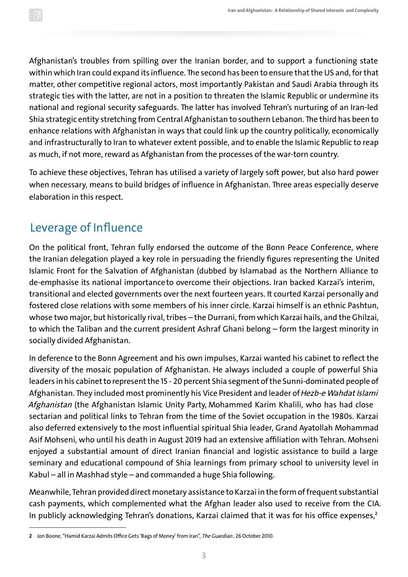Afghanistan's troubles from spilling over the Iranian border, and to support a functioning state within which Iran could expand its influence. The second has been to ensure that the US and, for that matter, other competitive regional actors, most importantly Pakistan and Saudi Arabia through its strategic ties with the latter, are not in a position to threaten the Islamic Republic or undermine its national and regional security safeguards. The latter has involved Tehran's nurturing of an Iran-led Shia strategic entity stretching from Central Afghanistan to southern Lebanon. The third has been to enhance relations with Afghanistan in ways that could link up the country politically, economically and infrastructurally to Iran to whatever extent possible, and to enable the Islamic Republic to reap as much, if not more, reward as Afghanistan from the processes of the war-torn country.

To achieve these objectives, Tehran has utilised a variety of largely soft power, but also hard power when necessary, means to build bridges of influence in Afghanistan. Three areas especially deserve elaboration in this respect.

### Leverage of Influence

On the political front, Tehran fully endorsed the outcome of the Bonn Peace Conference, where the Iranian delegation played a key role in persuading the friendly figures representing the United Islamic Front for the Salvation of Afghanistan (dubbed by Islamabad as the Northern Alliance to de-emphasise its national importanceto overcome their objections. Iran backed Karzai's interim, transitional and elected governments over the next fourteen years. It courted Karzai personally and fostered close relations with some members of his inner circle. Karzai himself is an ethnic Pashtun, whose two major, but historically rival, tribes – the Durrani, from which Karzai hails, and the Ghilzai, to which the Taliban and the current president Ashraf Ghani belong – form the largest minority in socially divided Afghanistan.

In deference to the Bonn Agreement and his own impulses, Karzai wanted his cabinet to reflect the diversity of the mosaic population of Afghanistan. He always included a couple of powerful Shia leaders in his cabinet to represent the 15 - 20 percent Shia segment of the Sunni-dominated people of Afghanistan. They included most prominently his Vice President and leader of Hezb-e Wahdat Islami Afghanistan (the Afghanistan Islamic Unity Party, Mohammed Karim Khalili, who has had close sectarian and political links to Tehran from the time of the Soviet occupation in the 1980s. Karzai also deferred extensively to the most influential spiritual Shia leader, Grand Ayatollah Mohammad Asif Mohseni, who until his death in August 2019 had an extensive affiliation with Tehran. Mohseni enjoyed a substantial amount of direct Iranian financial and logistic assistance to build a large seminary and educational compound of Shia learnings from primary school to university level in Kabul – all in Mashhad style – and commanded a huge Shia following.

Meanwhile, Tehran provided direct monetary assistance to Karzai in the form of frequent substantial cash payments, which complemented what the Afghan leader also used to receive from the CIA. In publicly acknowledging Tehran's donations, Karzai claimed that it was for his office expenses,**<sup>2</sup>**

**<sup>2</sup>** Jon Boone, "Hamid Karzai Admits Office Gets 'Bags of Money' from Iran", The Guardian , 26 October 2010.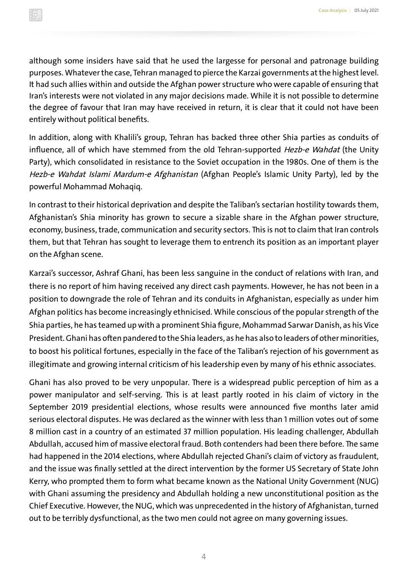although some insiders have said that he used the largesse for personal and patronage building purposes. Whatever the case, Tehran managed to pierce the Karzai governments at the highest level. It had such allies within and outside the Afghan power structure who were capable of ensuring that Iran's interests were not violated in any major decisions made. While it is not possible to determine the degree of favour that Iran may have received in return, it is clear that it could not have been entirely without political benefits.

In addition, along with Khalili's group, Tehran has backed three other Shia parties as conduits of influence, all of which have stemmed from the old Tehran-supported Hezb-e Wahdat (the Unity Party), which consolidated in resistance to the Soviet occupation in the 1980s. One of them is the Hezb-e Wahdat Islami Mardum-e Afghanistan (Afghan People's Islamic Unity Party), led by the powerful Mohammad Mohaqiq.

In contrast to their historical deprivation and despite the Taliban's sectarian hostility towards them, Afghanistan's Shia minority has grown to secure a sizable share in the Afghan power structure, economy, business, trade, communication and security sectors. This is not to claim that Iran controls them, but that Tehran has sought to leverage them to entrench its position as an important player on the Afghan scene.

Karzai's successor, Ashraf Ghani, has been less sanguine in the conduct of relations with Iran, and there is no report of him having received any direct cash payments. However, he has not been in a position to downgrade the role of Tehran and its conduits in Afghanistan, especially as under him Afghan politics has become increasingly ethnicised. While conscious of the popular strength of the Shia parties, he has teamed up with a prominent Shia figure, Mohammad Sarwar Danish, as his Vice President. Ghani has often pandered to the Shia leaders, as he has also to leaders of other minorities, to boost his political fortunes, especially in the face of the Taliban's rejection of his government as illegitimate and growing internal criticism of his leadership even by many of his ethnic associates.

Ghani has also proved to be very unpopular. There is a widespread public perception of him as a power manipulator and self-serving. This is at least partly rooted in his claim of victory in the September 2019 presidential elections, whose results were announced five months later amid serious electoral disputes. He was declared as the winner with less than 1 million votes out of some 8 million cast in a country of an estimated 37 million population. His leading challenger, Abdullah Abdullah, accused him of massive electoral fraud. Both contenders had been there before. The same had happened in the 2014 elections, where Abdullah rejected Ghani's claim of victory as fraudulent, and the issue was finally settled at the direct intervention by the former US Secretary of State John Kerry, who prompted them to form what became known as the National Unity Government (NUG) with Ghani assuming the presidency and Abdullah holding a new unconstitutional position as the Chief Executive. However, the NUG, which was unprecedented in the history of Afghanistan, turned out to be terribly dysfunctional, as the two men could not agree on many governing issues.

4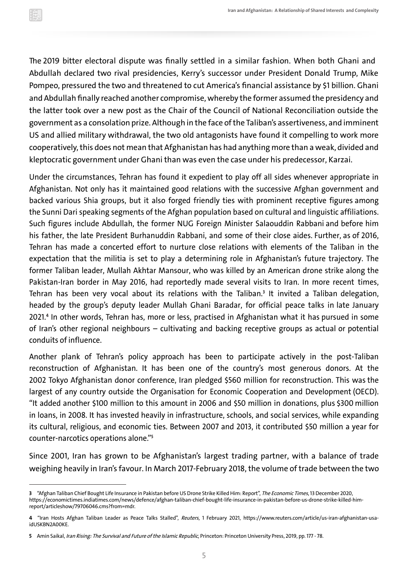The 2019 bitter electoral dispute was finally settled in a similar fashion. When both Ghani and Abdullah declared two rival presidencies, Kerry's successor under President Donald Trump, Mike Pompeo, pressured the two and threatened to cut America's financial assistance by \$1 billion. Ghani and Abdullah finally reached another compromise, whereby the former assumed the presidency and the latter took over a new post as the Chair of the Council of National Reconciliation outside the government as a consolation prize. Although in the face of the Taliban's assertiveness, and imminent US and allied military withdrawal, the two old antagonists have found it compelling to work more cooperatively, this does not mean that Afghanistan has had anything more than a weak, divided and kleptocratic government under Ghani than was even the case under his predecessor, Karzai.

Under the circumstances, Tehran has found it expedient to play off all sides whenever appropriate in Afghanistan. Not only has it maintained good relations with the successive Afghan government and backed various Shia groups, but it also forged friendly ties with prominent receptive figures among the Sunni Dari speaking segments of the Afghan population based on cultural and linguistic affiliations. Such figures include Abdullah, the former NUG Foreign Minister Salaouddin Rabbani and before him his father, the late President Burhanuddin Rabbani, and some of their close aides. Further, as of 2016, Tehran has made a concerted effort to nurture close relations with elements of the Taliban in the expectation that the militia is set to play a determining role in Afghanistan's future trajectory. The former Taliban leader, Mullah Akhtar Mansour, who was killed by an American drone strike along the Pakistan-Iran border in May 2016, had reportedly made several visits to Iran. In more recent times, Tehran has been very vocal about its relations with the Taliban.**<sup>3</sup>** It invited a Taliban delegation, headed by the group's deputy leader Mullah Ghani Baradar, for official peace talks in late January 2021.**<sup>4</sup>** In other words, Tehran has, more or less, practised in Afghanistan what it has pursued in some of Iran's other regional neighbours – cultivating and backing receptive groups as actual or potential conduits of influence.

Another plank of Tehran's policy approach has been to participate actively in the post-Taliban reconstruction of Afghanistan. It has been one of the country's most generous donors. At the 2002 Tokyo Afghanistan donor conference, Iran pledged \$560 million for reconstruction. This was the largest of any country outside the Organisation for Economic Cooperation and Development (OECD). "It added another \$100 million to this amount in 2006 and \$50 million in donations, plus \$300 million in loans, in 2008. It has invested heavily in infrastructure, schools, and social services, while expanding its cultural, religious, and economic ties. Between 2007 and 2013, it contributed \$50 million a year for counter-narcotics operations alone."**<sup>5</sup>**

Since 2001, Iran has grown to be Afghanistan's largest trading partner, with a balance of trade weighing heavily in Iran's favour. In March 2017-February 2018, the volume of trade between the two

**<sup>3</sup>** "Afghan Taliban Chief Bought Life Insurance in Pakistan before US Drone Strike Killed Him: Report", The Economic Times, 13 December 2020, https://economictimes.indiatimes.com/news/defence/afghan-taliban-chief-bought-life-insurance-in-pakistan-before-us-drone-strike-killed-himreport/articleshow/79706046.cms?from=mdr.

**<sup>4</sup>** "Iran Hosts Afghan Taliban Leader as Peace Talks Stalled", Reuters, 1 February 2021, https://www.reuters.com/article/us-iran-afghanistan-usaidUSKBN2A00KE.

**<sup>5</sup>** Amin Saikal, Iran Rising: The Survival and Future of the Islamic Republic, Princeton: Princeton University Press, 2019, pp. 177 - 78.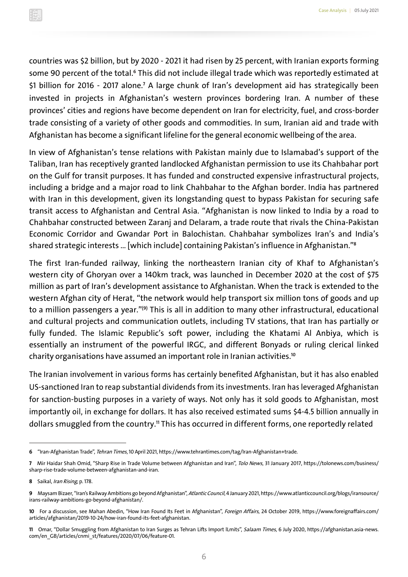countries was \$2 billion, but by 2020 - 2021 it had risen by 25 percent, with Iranian exports forming some 90 percent of the total.**<sup>6</sup>** This did not include illegal trade which was reportedly estimated at \$1 billion for 2016 - 2017 alone.**<sup>7</sup>** A large chunk of Iran's development aid has strategically been invested in projects in Afghanistan's western provinces bordering Iran. A number of these provinces' cities and regions have become dependent on Iran for electricity, fuel, and cross-border trade consisting of a variety of other goods and commodities. In sum, Iranian aid and trade with Afghanistan has become a significant lifeline for the general economic wellbeing of the area.

In view of Afghanistan's tense relations with Pakistan mainly due to Islamabad's support of the Taliban, Iran has receptively granted landlocked Afghanistan permission to use its Chahbahar port on the Gulf for transit purposes. It has funded and constructed expensive infrastructural projects, including a bridge and a major road to link Chahbahar to the Afghan border. India has partnered with Iran in this development, given its longstanding quest to bypass Pakistan for securing safe transit access to Afghanistan and Central Asia. "Afghanistan is now linked to India by a road to Chahbahar constructed between Zaranj and Delaram, a trade route that rivals the China-Pakistan Economic Corridor and Gwandar Port in Balochistan. Chahbahar symbolizes Iran's and India's shared strategic interests … [which include] containing Pakistan's influence in Afghanistan."**<sup>8</sup>**

The first Iran-funded railway, linking the northeastern Iranian city of Khaf to Afghanistan's western city of Ghoryan over a 140km track, was launched in December 2020 at the cost of \$75 million as part of Iran's development assistance to Afghanistan. When the track is extended to the western Afghan city of Herat, "the network would help transport six million tons of goods and up to a million passengers a year."**(9)** This is all in addition to many other infrastructural, educational and cultural projects and communication outlets, including TV stations, that Iran has partially or fully funded. The Islamic Republic's soft power, including the Khatami Al Anbiya, which is essentially an instrument of the powerful IRGC, and different Bonyads or ruling clerical linked charity organisations have assumed an important role in Iranian activities.**<sup>10</sup>**

The Iranian involvement in various forms has certainly benefited Afghanistan, but it has also enabled US-sanctioned Iran to reap substantial dividends from its investments. Iran has leveraged Afghanistan for sanction-busting purposes in a variety of ways. Not only has it sold goods to Afghanistan, most importantly oil, in exchange for dollars. It has also received estimated sums \$4-4.5 billion annually in dollars smuggled from the country. **<sup>11</sup>** This has occurred in different forms, one reportedly related

**<sup>6</sup>** "Iran-Afghanistan Trade", Tehran Times, 10 April 2021, https://www.tehrantimes.com/tag/Iran-Afghanistan+trade.

**<sup>7</sup>** Mir Haidar Shah Omid, "Sharp Rise in Trade Volume between Afghanistan and Iran", Tolo News, 31 January 2017, https://tolonews.com/business/ sharp-rise-trade-volume-between-afghanistan-and-iran.

**<sup>8</sup>** Saikal, Iran Rising, p. 178.

**<sup>9</sup>** Maysam Bizaer, "Iran's Railway Ambitions go beyond Afghanistan", Atlantic Council, 4 January 2021, https://www.atlanticcouncil.org/blogs/iransource/ irans-railway-ambitions-go-beyond-afghanistan/.

**<sup>10</sup>** For a discussion, see Mahan Abedin, "How Iran Found Its Feet in Afghanistan", Foreign Affairs, 24 October 2019, https://www.foreignaffairs.com/ articles/afghanistan/2019-10-24/how-iran-found-its-feet-afghanistan.

**<sup>11</sup>** Omar, "Dollar Smuggling from Afghanistan to Iran Surges as Tehran Lifts Import lLmits", Salaam Times, 6 July 2020, https://afghanistan.asia-news. com/en\_GB/articles/cnmi\_st/features/2020/07/06/feature-01.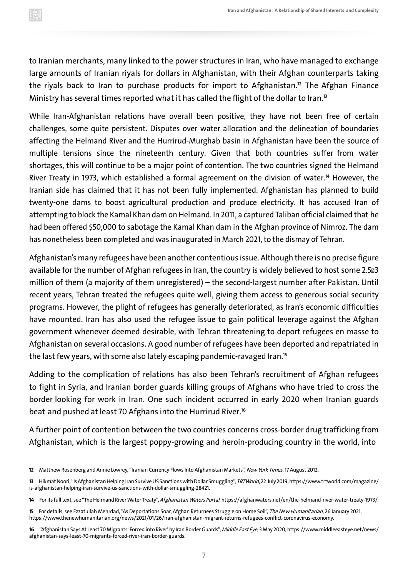to Iranian merchants, many linked to the power structures in Iran, who have managed to exchange large amounts of Iranian riyals for dollars in Afghanistan, with their Afghan counterparts taking the riyals back to Iran to purchase products for import to Afghanistan.**<sup>12</sup>** The Afghan Finance Ministry has several times reported what it has called the flight of the dollar to Iran.**<sup>13</sup>**

While Iran-Afghanistan relations have overall been positive, they have not been free of certain challenges, some quite persistent. Disputes over water allocation and the delineation of boundaries affecting the Helmand River and the Hurrirud-Murghab basin in Afghanistan have been the source of multiple tensions since the nineteenth century. Given that both countries suffer from water shortages, this will continue to be a major point of contention. The two countries signed the Helmand River Treaty in 1973, which established a formal agreement on the division of water.**<sup>14</sup>** However, the Iranian side has claimed that it has not been fully implemented. Afghanistan has planned to build twenty-one dams to boost agricultural production and produce electricity. It has accused Iran of attempting to block the Kamal Khan dam on Helmand. In 2011, a captured Taliban official claimed that he had been offered \$50,000 to sabotage the Kamal Khan dam in the Afghan province of Nimroz. The dam has nonetheless been completed and was inaugurated in March 2021, to the dismay of Tehran.

Afghanistan's many refugees have been another contentious issue. Although there is no precise figure available for the number of Afghan refugees in Iran, the country is widely believed to host some 2.5<sup>83</sup> million of them (a majority of them unregistered) – the second-largest number after Pakistan. Until recent years, Tehran treated the refugees quite well, giving them access to generous social security programs. However, the plight of refugees has generally deteriorated, as Iran's economic difficulties have mounted. Iran has also used the refugee issue to gain political leverage against the Afghan government whenever deemed desirable, with Tehran threatening to deport refugees en masse to Afghanistan on several occasions. A good number of refugees have been deported and repatriated in the last few years, with some also lately escaping pandemic-ravaged Iran.**<sup>15</sup>**

Adding to the complication of relations has also been Tehran's recruitment of Afghan refugees to fight in Syria, and Iranian border guards killing groups of Afghans who have tried to cross the border looking for work in Iran. One such incident occurred in early 2020 when Iranian guards beat and pushed at least 70 Afghans into the Hurrirud River.**<sup>16</sup>**

A further point of contention between the two countries concerns cross-border drug trafficking from Afghanistan, which is the largest poppy-growing and heroin-producing country in the world, into

**<sup>12</sup>** Matthew Rosenberg and Annie Lowrey, "Iranian Currency Flows Into Afghanistan Markets", New York Times, 17 August 2012.

**<sup>13</sup>** Hikmat Noori, "Is Afghanistan Helping Iran Survive US Sanctions with Dollar Smuggling", TRTWorld, 22 July 2019, https://www.trtworld.com/magazine/ is-afghanistan-helping-iran-survive-us-sanctions-with-dollar-smuggling-28421.

**<sup>14</sup>** For its full text, see "The Helmand River Water Treaty", Afghanistan Waters Portal, https://afghanwaters.net/en/the-helmand-river-water-treaty-1973/.

**<sup>15</sup>** For details, see Ezzatullah Mehrdad, "As Deportations Soar, Afghan Returnees Struggle on Home Soil", The New Humanitarian, 26 January 2021, https://www.thenewhumanitarian.org/news/2021/01/26/iran-afghanistan-migrant-returns-refugees-conflict-coronavirus-economy.

**<sup>16</sup>** "Afghanistan Says At Least 70 Migrants 'Forced into River' by Iran Border Guards", Middle East Eye, 3 May 2020, https://www.middleeasteye.net/news/ afghanistan-says-least-70-migrants-forced-river-iran-border-guards.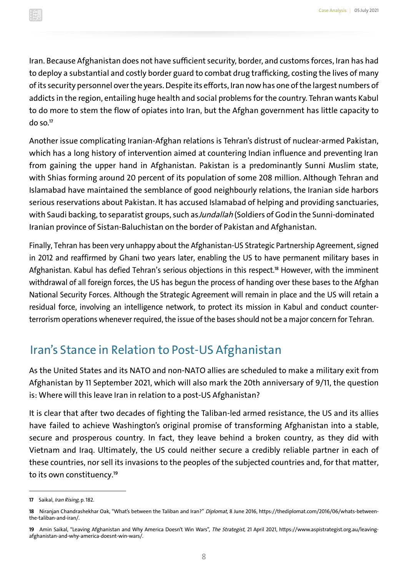Iran. Because Afghanistan does not have sufficient security, border, and customs forces, Iran has had to deploy a substantial and costly border guard to combat drug trafficking, costing the lives of many of its security personnel over the years. Despite its efforts, Iran now has one of the largest numbers of addicts in the region, entailing huge health and social problems for the country. Tehran wants Kabul to do more to stem the flow of opiates into Iran, but the Afghan government has little capacity to do so.**<sup>17</sup>**

Another issue complicating Iranian-Afghan relations is Tehran's distrust of nuclear-armed Pakistan, which has a long history of intervention aimed at countering Indian influence and preventing Iran from gaining the upper hand in Afghanistan. Pakistan is a predominantly Sunni Muslim state, with Shias forming around 20 percent of its population of some 208 million. Although Tehran and Islamabad have maintained the semblance of good neighbourly relations, the Iranian side harbors serious reservations about Pakistan. It has accused Islamabad of helping and providing sanctuaries, with Saudi backing, to separatist groups, such as Jundallah (Soldiers of God in the Sunni-dominated Iranian province of Sistan-Baluchistan on the border of Pakistan and Afghanistan.

Finally, Tehran has been very unhappy about the Afghanistan-US Strategic Partnership Agreement, signed in 2012 and reaffirmed by Ghani two years later, enabling the US to have permanent military bases in Afghanistan. Kabul has defied Tehran's serious objections in this respect.**<sup>18</sup>** However, with the imminent withdrawal of all foreign forces, the US has begun the process of handing over these bases to the Afghan National Security Forces. Although the Strategic Agreement will remain in place and the US will retain a residual force, involving an intelligence network, to protect its mission in Kabul and conduct counterterrorism operations whenever required, the issue of the bases should not be a major concern for Tehran.

### Iran's Stance in Relation to Post-US Afghanistan

As the United States and its NATO and non-NATO allies are scheduled to make a military exit from Afghanistan by 11 September 2021, which will also mark the 20th anniversary of 9/11, the question is: Where will this leave Iran in relation to a post-US Afghanistan?

It is clear that after two decades of fighting the Taliban-led armed resistance, the US and its allies have failed to achieve Washington's original promise of transforming Afghanistan into a stable, secure and prosperous country. In fact, they leave behind a broken country, as they did with Vietnam and Iraq. Ultimately, the US could neither secure a credibly reliable partner in each of these countries, nor sell its invasions to the peoples of the subjected countries and, for that matter, to its own constituency.**<sup>19</sup>**

**<sup>17</sup>** Saikal, Iran Rising, p. 182.

**<sup>18</sup>** Niranjan Chandrashekhar Oak, "What's between the Taliban and Iran?" Diplomat, 8 June 2016, https://thediplomat.com/2016/06/whats-betweenthe-taliban-and-iran/.

**<sup>19</sup>** Amin Saikal, "Leaving Afghanistan and Why America Doesn't Win Wars", The Strategist, 21 April 2021, https://www.aspistrategist.org.au/leavingafghanistan-and-why-america-doesnt-win-wars/.